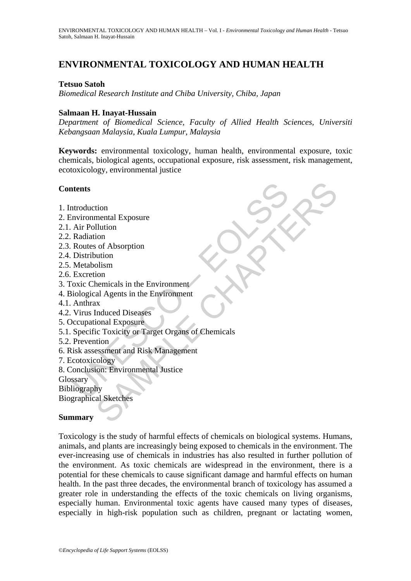# **ENVIRONMENTAL TOXICOLOGY AND HUMAN HEALTH**

## **Tetsuo Satoh**

*Biomedical Research Institute and Chiba University, Chiba, Japan* 

## **Salmaan H. Inayat-Hussain**

*Department of Biomedical Science, Faculty of Allied Health Sciences, Universiti Kebangsaan Malaysia, Kuala Lumpur, Malaysia* 

**Keywords:** environmental toxicology, human health, environmental exposure, toxic chemicals, biological agents, occupational exposure, risk assessment, risk management, ecotoxicology, environmental justice

# **Contents**

- 1. Introduction
- 2. Environmental Exposure
- 2.1. Air Pollution
- 2.2. Radiation
- 2.3. Routes of Absorption
- 2.4. Distribution
- 2.5. Metabolism
- 2.6. Excretion
- 3. Toxic Chemicals in the Environment
- 4. Biological Agents in the Environment
- 4.1. Anthrax
- 4.2. Virus Induced Diseases
- 5. Occupational Exposure
- **thermannistand Exposure**<br>
Air Pollution<br>
Adiation<br>
Radiation<br>
Routes of Absorption<br>
Distribution<br>
Metabolism<br>
Excretion<br>
oxic Chemicals in the Environment<br>
Anthrax<br>
Virus Induced Diseases<br>
eccupational Exposure<br>
Specific tion<br>mental Exposure<br>Illution<br>Intition<br>Internation<br>Internation<br>Internation<br>Internation<br>Internation<br>Internation<br>Internation<br>Internation<br>Internation<br>Internation<br>Internation<br>Internation<br>Internation<br>Internation<br>Internation<br>Int 5.1. Specific Toxicity or Target Organs of Chemicals
- 5.2. Prevention
- 6. Risk assessment and Risk Management
- 7. Ecotoxicology
- 8. Conclusion: Environmental Justice
- Glossary
- Bibliography

Biographical Sketches

# **Summary**

Toxicology is the study of harmful effects of chemicals on biological systems. Humans, animals, and plants are increasingly being exposed to chemicals in the environment. The ever-increasing use of chemicals in industries has also resulted in further pollution of the environment. As toxic chemicals are widespread in the environment, there is a potential for these chemicals to cause significant damage and harmful effects on human health. In the past three decades, the environmental branch of toxicology has assumed a greater role in understanding the effects of the toxic chemicals on living organisms, especially human. Environmental toxic agents have caused many types of diseases, especially in high-risk population such as children, pregnant or lactating women,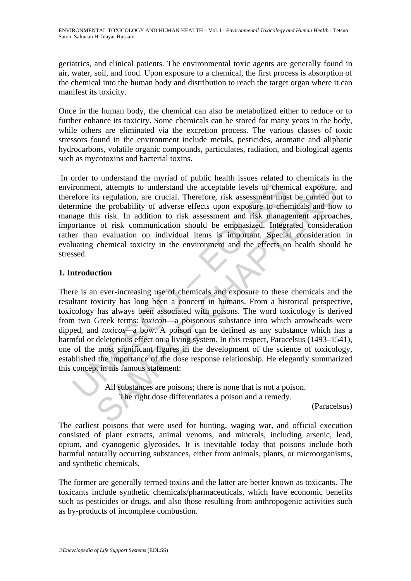geriatrics, and clinical patients. The environmental toxic agents are generally found in air, water, soil, and food. Upon exposure to a chemical, the first process is absorption of the chemical into the human body and distribution to reach the target organ where it can manifest its toxicity.

Once in the human body, the chemical can also be metabolized either to reduce or to further enhance its toxicity. Some chemicals can be stored for many years in the body, while others are eliminated via the excretion process. The various classes of toxic stressors found in the environment include metals, pesticides, aromatic and aliphatic hydrocarbons, volatile organic compounds, particulates, radiation, and biological agents such as mycotoxins and bacterial toxins.

 In order to understand the myriad of public health issues related to chemicals in the environment, attempts to understand the acceptable levels of chemical exposure, and therefore its regulation, are crucial. Therefore, risk assessment must be carried out to determine the probability of adverse effects upon exposure to chemicals and how to manage this risk. In addition to risk assessment and risk management approaches, importance of risk communication should be emphasized. Integrated consideration rather than evaluation on individual items is important. Special consideration in evaluating chemical toxicity in the environment and the effects on health should be stressed.

# **1. Introduction**

ir comment, attempts to understand the acceptable levels of chem<br>efore its regulation, are crucial. Therefore, risk assessment mus<br>rmine the probability of adverse effects upon exposure to chem<br>age this risk. In addition t Internal and the acceptable levels of chemical exposure,<br>the stegulation, are crucial. Therefore, risk assessment must be carried on<br>the probability of adverse effects upon exposure to chemical and how<br>is risk. In additio There is an ever-increasing use of chemicals and exposure to these chemicals and the resultant toxicity has long been a concern in humans. From a historical perspective, toxicology has always been associated with poisons. The word toxicology is derived from two Greek terms: *toxicon*—a poisonous substance into which arrowheads were dipped, and *toxicos—*a bow. A poison can be defined as any substance which has a harmful or deleterious effect on a living system. In this respect, Paracelsus (1493–1541), one of the most significant figures in the development of the science of toxicology, established the importance of the dose response relationship. He elegantly summarized this concept in his famous statement:

All substances are poisons; there is none that is not a poison. The right dose differentiates a poison and a remedy.

(Paracelsus)

The earliest poisons that were used for hunting, waging war, and official execution consisted of plant extracts, animal venoms, and minerals, including arsenic, lead, opium, and cyanogenic glycosides. It is inevitable today that poisons include both harmful naturally occurring substances, either from animals, plants, or microorganisms, and synthetic chemicals.

The former are generally termed toxins and the latter are better known as toxicants. The toxicants include synthetic chemicals/pharmaceuticals, which have economic benefits such as pesticides or drugs, and also those resulting from anthropogenic activities such as by-products of incomplete combustion.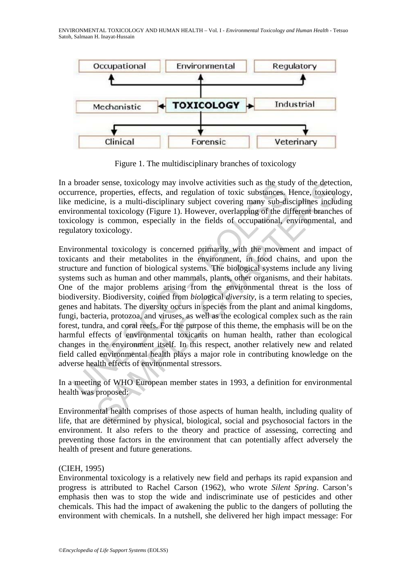ENVIRONMENTAL TOXICOLOGY AND HUMAN HEALTH – Vol. I - *Environmental Toxicology and Human Health -* Tetsuo Satoh, Salmaan H. Inayat-Hussain



Figure 1. The multidisciplinary branches of toxicology

In a broader sense, toxicology may involve activities such as the study of the detection, occurrence, properties, effects, and regulation of toxic substances. Hence, toxicology, like medicine, is a multi-disciplinary subject covering many sub-disciplines including environmental toxicology (Figure 1). However, overlapping of the different branches of toxicology is common, especially in the fields of occupational, environmental, and regulatory toxicology.

broader sense, toxicology may involve activities such as the student<br>urence, properties, effects, and regulation of toxic substances.<br>In medicine, is a multi-disciplinary subject covering many sub-dii<br>trommental toxicology er sense, toxicology may involve activities such as the study of the detect, properties, effects, and regulation of toxic substances. Hence, toxicology, (Figure 1). However, overlapping many sub-disciplines including to in Environmental toxicology is concerned primarily with the movement and impact of toxicants and their metabolites in the environment, in food chains, and upon the structure and function of biological systems. The biological systems include any living systems such as human and other mammals, plants, other organisms, and their habitats. One of the major problems arising from the environmental threat is the loss of biodiversity. Biodiversity, coined from *bio*logical *diversity*, is a term relating to species, genes and habitats. The diversity occurs in species from the plant and animal kingdoms, fungi, bacteria, protozoa, and viruses, as well as the ecological complex such as the rain forest, tundra, and coral reefs. For the purpose of this theme, the emphasis will be on the harmful effects of environmental toxicants on human health, rather than ecological changes in the environment itself. In this respect, another relatively new and related field called environmental health plays a major role in contributing knowledge on the adverse health effects of environmental stressors.

In a meeting of WHO European member states in 1993, a definition for environmental health was proposed:

Environmental health comprises of those aspects of human health, including quality of life, that are determined by physical, biological, social and psychosocial factors in the environment. It also refers to the theory and practice of assessing, correcting and preventing those factors in the environment that can potentially affect adversely the health of present and future generations.

### (CIEH, 1995)

Environmental toxicology is a relatively new field and perhaps its rapid expansion and progress is attributed to Rachel Carson (1962), who wrote *Silent Spring*. Carson's emphasis then was to stop the wide and indiscriminate use of pesticides and other chemicals. This had the impact of awakening the public to the dangers of polluting the environment with chemicals. In a nutshell, she delivered her high impact message: For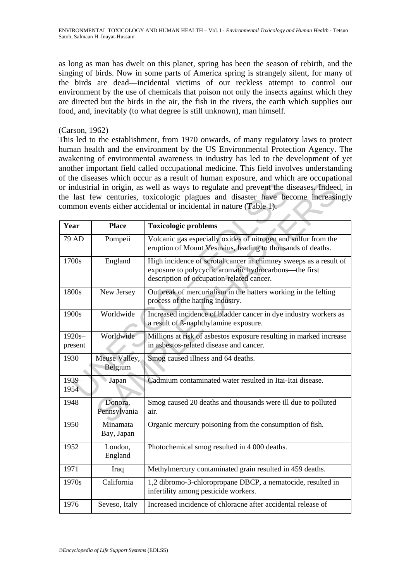as long as man has dwelt on this planet, spring has been the season of rebirth, and the singing of birds. Now in some parts of America spring is strangely silent, for many of the birds are dead—incidental victims of our reckless attempt to control our environment by the use of chemicals that poison not only the insects against which they are directed but the birds in the air, the fish in the rivers, the earth which supplies our food, and, inevitably (to what degree is still unknown), man himself.

#### (Carson, 1962)

This led to the establishment, from 1970 onwards, of many regulatory laws to protect human health and the environment by the US Environmental Protection Agency. The awakening of environmental awareness in industry has led to the development of yet another important field called occupational medicine. This field involves understanding of the diseases which occur as a result of human exposure, and which are occupational or industrial in origin, as well as ways to regulate and prevent the diseases. Indeed, in the last few centuries, toxicologic plagues and disaster have become increasingly common events either accidental or incidental in nature (Table 1).

| Year                 | <b>Place</b>             | <b>Toxicologic problems</b>                                                                                                                                              |
|----------------------|--------------------------|--------------------------------------------------------------------------------------------------------------------------------------------------------------------------|
| 79 AD                | Pompeii                  | Volcanic gas especially oxides of nitrogen and sulfur from the<br>eruption of Mount Vesuvius, leading to thousands of deaths.                                            |
| 1700s                | England                  | High incidence of scrotal cancer in chimney sweeps as a result of<br>exposure to polycyclic aromatic hydrocarbons—the first<br>description of occupation-related cancer. |
| 1800s                | New Jersey               | Outbreak of mercurialism in the hatters working in the felting<br>process of the hatting industry.                                                                       |
| 1900s                | Worldwide                | Increased incidence of bladder cancer in dye industry workers as<br>a result of ß-naphthylamine exposure.                                                                |
| $1920s -$<br>present | Worldwide                | Millions at risk of asbestos exposure resulting in marked increase<br>in asbestos-related disease and cancer.                                                            |
| 1930                 | Meuse Valley,<br>Belgium | Smog caused illness and 64 deaths.                                                                                                                                       |
| 1939-<br>1954        | Japan                    | Cadmium contaminated water resulted in Itai-Itai disease.                                                                                                                |
| 1948                 | Donora,<br>Pennsylvania  | Smog caused 20 deaths and thousands were ill due to polluted<br>air.                                                                                                     |
| 1950                 | Minamata<br>Bay, Japan   | Organic mercury poisoning from the consumption of fish.                                                                                                                  |
| 1952                 | London,<br>England       | Photochemical smog resulted in 4 000 deaths.                                                                                                                             |
| 1971                 | Iraq                     | Methylmercury contaminated grain resulted in 459 deaths.                                                                                                                 |
| 1970s                | California               | 1,2 dibromo-3-chloropropane DBCP, a nematocide, resulted in<br>infertility among pesticide workers.                                                                      |
| 1976                 | Seveso, Italy            | Increased incidence of chloracne after accidental release of                                                                                                             |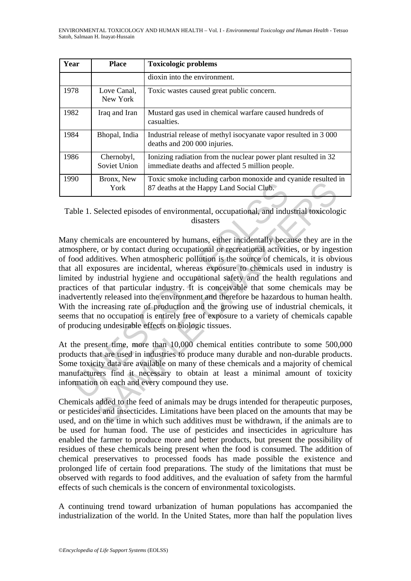| Year | <b>Place</b>               | <b>Toxicologic problems</b>                                                                                       |
|------|----------------------------|-------------------------------------------------------------------------------------------------------------------|
|      |                            | dioxin into the environment.                                                                                      |
| 1978 | Love Canal,<br>New York    | Toxic wastes caused great public concern.                                                                         |
| 1982 | Iraq and Iran              | Mustard gas used in chemical warfare caused hundreds of<br>casualties.                                            |
| 1984 | Bhopal, India              | Industrial release of methyl isocyanate vapor resulted in 3000<br>deaths and 200 000 injuries.                    |
| 1986 | Chernobyl,<br>Soviet Union | Ionizing radiation from the nuclear power plant resulted in 32<br>immediate deaths and affected 5 million people. |
| 1990 | Bronx, New<br>York         | Toxic smoke including carbon monoxide and cyanide resulted in<br>87 deaths at the Happy Land Social Club.         |

Table 1. Selected episodes of environmental, occupational, and industrial toxicologic disasters

York 87 deaths at the Happy Land Social Club.<br>
York 87 deaths at the Happy Land Social Club.<br>
Where 1. Selected episodes of environmental, occupational, and indu<br>
disasters<br>
Ny chemicals are encountered by humans, either i Example also as since increase the<br>standard contact and spland costal Club.<br>York 87 deaths at the Happy Land Social Club.<br>Selected episodes of environmental, occupational, and industrial toxicolog<br>disasters<br>incides are en Many chemicals are encountered by humans, either incidentally because they are in the atmosphere, or by contact during occupational or recreational activities, or by ingestion of food additives. When atmospheric pollution is the source of chemicals, it is obvious that all exposures are incidental, whereas exposure to chemicals used in industry is limited by industrial hygiene and occupational safety and the health regulations and practices of that particular industry. It is conceivable that some chemicals may be inadvertently released into the environment and therefore be hazardous to human health. With the increasing rate of production and the growing use of industrial chemicals, it seems that no occupation is entirely free of exposure to a variety of chemicals capable of producing undesirable effects on biologic tissues.

At the present time, more than 10,000 chemical entities contribute to some 500,000 products that are used in industries to produce many durable and non-durable products. Some toxicity data are available on many of these chemicals and a majority of chemical manufacturers find it necessary to obtain at least a minimal amount of toxicity information on each and every compound they use.

Chemicals added to the feed of animals may be drugs intended for therapeutic purposes, or pesticides and insecticides. Limitations have been placed on the amounts that may be used, and on the time in which such additives must be withdrawn, if the animals are to be used for human food. The use of pesticides and insecticides in agriculture has enabled the farmer to produce more and better products, but present the possibility of residues of these chemicals being present when the food is consumed. The addition of chemical preservatives to processed foods has made possible the existence and prolonged life of certain food preparations. The study of the limitations that must be observed with regards to food additives, and the evaluation of safety from the harmful effects of such chemicals is the concern of environmental toxicologists.

A continuing trend toward urbanization of human populations has accompanied the industrialization of the world. In the United States, more than half the population lives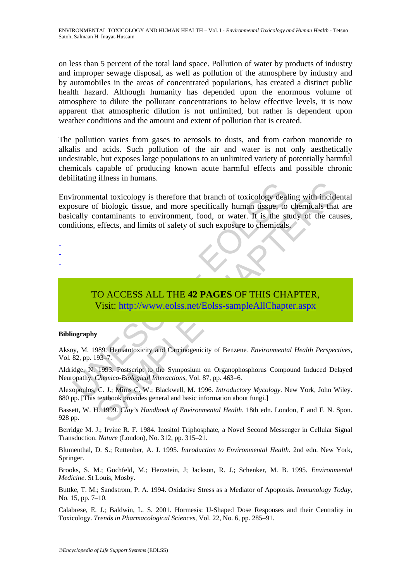on less than 5 percent of the total land space. Pollution of water by products of industry and improper sewage disposal, as well as pollution of the atmosphere by industry and by automobiles in the areas of concentrated populations, has created a distinct public health hazard. Although humanity has depended upon the enormous volume of atmosphere to dilute the pollutant concentrations to below effective levels, it is now apparent that atmospheric dilution is not unlimited, but rather is dependent upon weather conditions and the amount and extent of pollution that is created.

The pollution varies from gases to aerosols to dusts, and from carbon monoxide to alkalis and acids. Such pollution of the air and water is not only aesthetically undesirable, but exposes large populations to an unlimited variety of potentially harmful chemicals capable of producing known acute harmful effects and possible chronic debilitating illness in humans.

independent toxicology is therefore that branch of toxicology deal<br>
solve of biologic tissue, and more specifically human tissue, to<br>
cally containinants to environment, food, or water. It is the stations, effects, and lim Filologic tissue, to chemical toxicology dealing with incidential toxicology sherefore that branch of toxicology dealing with incident orthonomiants to environment, food, or water. It is the study of the cateffects, and li Environmental toxicology is therefore that branch of toxicology dealing with incidental exposure of biologic tissue, and more specifically human tissue, to chemicals that are basically contaminants to environment, food, or water. It is the study of the causes, conditions, effects, and limits of safety of such exposure to chemicals.

- -
- -
- -

TO ACCESS ALL THE **42 PAGES** OF THIS CHAPTER, Visit: http://www.eolss.net/Eolss-sampleAllChapter.aspx

#### **Bibliography**

Aksoy, M. 1989. Hematotoxicity and Carcinogenicity of Benzene*. Environmental Health Perspectives*, Vol. 82, pp. 193–7*.* 

Aldridge, N. 1993. Postscript to the Symposium on Organophosphorus Compound Induced Delayed Neuropathy*. Chemico-Biological Interactions*, Vol. 87, pp. 463–6.

Alexopoulos, C. J.; Mims C. W.; Blackwell, M. 1996*. Introductory Mycology*. New York, John Wiley. 880 pp. [This textbook provides general and basic information about fungi.]

Bassett, W. H. 1999. *Clay's Handbook of Environmental Health*. 18th edn. London, E and F. N. Spon. 928 pp.

Berridge M. J.; Irvine R. F. 1984. Inositol Triphosphate, a Novel Second Messenger in Cellular Signal Transduction. *Nature* (London), No. 312, pp. 315–21.

Blumenthal, D. S.; Ruttenber, A. J. 1995*. Introduction to Environmental Health*. 2nd edn. New York, Springer.

Brooks, S. M.; Gochfeld, M.; Herzstein, J; Jackson, R. J.; Schenker, M. B. 1995. *Environmental Medicine*. St Louis, Mosby.

Buttke, T. M.; Sandstrom, P. A. 1994. Oxidative Stress as a Mediator of Apoptosis*. Immunology Today*, No. 15, pp. 7–10.

Calabrese, E. J.; Baldwin, L. S. 2001. Hormesis: U-Shaped Dose Responses and their Centrality in Toxicology. *Trends in Pharmacological Sciences*, Vol. 22, No. 6, pp. 285–91.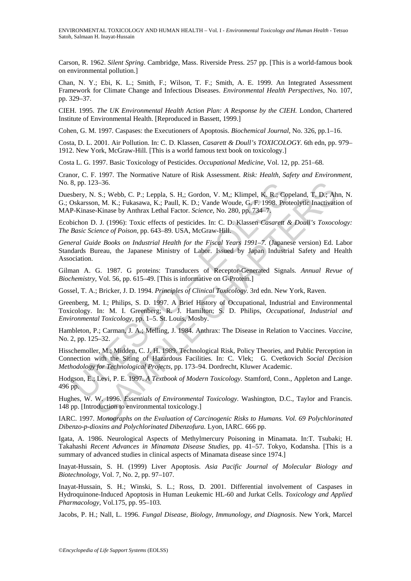Carson, R. 1962. *Silent Spring*. Cambridge, Mass. Riverside Press. 257 pp. [This is a world-famous book on environmental pollution.]

Chan, N. Y.; Ebi, K. L.; Smith, F.; Wilson, T. F.; Smith, A. E. 1999. An Integrated Assessment Framework for Climate Change and Infectious Diseases. *Environmental Health Perspectives*, No. 107, pp. 329–37.

CIEH. 1995. *The UK Environmental Health Action Plan: A Response by the CIEH.* London, Chartered Institute of Environmental Health. [Reproduced in Bassett, 1999.]

Cohen, G. M. 1997. Caspases: the Executioners of Apoptosis. *Biochemical Journal,* No. 326, pp.1–16.

Costa, D. L. 2001. Air Pollution. In: C. D. Klassen, *Casarett & Doull's TOXICOLOGY.* 6th edn, pp. 979– 1912. New York, McGraw-Hill. [This is a world famous text book on toxicology.]

Costa L. G. 1997. Basic Toxicology of Pesticides. *Occupational Medicine,* Vol. 12, pp. 251–68.

Cranor, C. F. 1997. The Normative Nature of Risk Assessment. *Risk: Health, Safety and Environment,* No. 8, pp. 123–36.

Duesbery, N. S.; Webb, C. P.; Leppla, S. H,; Gordon, V. M,; Klimpel, K. R.; Copeland, T. D.; Ahn, N. G.; Oskarsson, M. K.; Fukasawa, K.; Paull, K. D.; Vande Woude, G. F. 1998. Proteolytic Inactivation of MAP-Kinase-Kinase by Anthrax Lethal Factor. *Science,* No. 280, pp. 734–7.

Ecobichon D. J. (1996): Toxic effects of pesticides. In: C. D. Klassen *Casarett & Doull's Toxocology: The Basic Science of Poison,* pp. 643–89. USA, McGraw-Hill.

*General Guide Books on Industrial Health for the Fiscal Years 1991–7.* (Japanese version) Ed. Labor Standards Bureau, the Japanese Ministry of Labor. Issued by Japan Industrial Safety and Health Association.

Gilman A. G. 1987. G proteins: Transducers of Receptor-Generated Signals. *Annual Revue of Biochemistry,* Vol. 56, pp. 615–49. [This is informative on G-Protein.]

Gossel, T. A.; Bricker, J. D. 1994. *Principles of Clinical Toxicology.* 3rd edn. New York, Raven.

Greenberg, M. I.; Philips, S. D. 1997. A Brief History of Occupational, Industrial and Environmental Toxicology. In: M. I. Greenberg; R. J. Hamilton; S. D. Philips, *Occupational, Industrial and Environmental Toxicology,* pp. 1–5. St. Louis, Mosby.

Hambleton, P.; Carman, J. A.; Melling, J. 1984. Anthrax: The Disease in Relation to Vaccines. *Vaccine,* No. 2, pp. 125–32.

5, pp. 123–36.<br>
Shepty, N. S.; Webb, C. P.; Leppla, S. H.; Gordon, V. M.; Klimpel, K. R.; Cop-<br>
Dskarsson, M. K.; Fukasawa, K.; Paull, K. D.; Vande Woude, G. F. 1998. Pro<br>
Dskarsson, M. K.; Fukasawa, K.; Paull, K. D.; Vand 3-36.<br>
3-36.<br>
S., Webb, C. P.; Leppla, S. H.; Gordon, V. M.; Klimpel, K. R.; Copeland, T. D.; Ah, M. K.; Fukasawa, K.; Paull, K. D.; Vande Woude, G. F. 1998. Proteolytic Inactivati-<br>
Kinaxe by Anthrax Lethal Factor. *Scien* Hisschemoller, M.; Midden, C. J. H. 1989. Technological Risk, Policy Theories, and Public Perception in Connection with the Siting of Hazardous Facilities. In: C. Vlek; G. Cvetkovich *Social Decision Methodology for Technological Projects,* pp. 173–94. Dordrecht, Kluwer Academic.

Hodgson, E.; Levi, P. E. 1997. *A Textbook of Modern Toxicology.* Stamford, Conn., Appleton and Lange. 496 pp.

Hughes, W. W. 1996. *Essentials of Environmental Toxicology.* Washington, D.C., Taylor and Francis. 148 pp. [Introduction to environmental toxicology.]

IARC. 1997. *Monographs on the Evaluation of Carcinogenic Risks to Humans. Vol. 69 Polychlorinated Dibenzo-p-dioxins and Polychlorinated Dibenzofura.* Lyon, IARC. 666 pp.

Igata, A. 1986. Neurological Aspects of Methylmercury Poisoning in Minamata. In:T. Tsubaki; H. Takahashi *Recent Advances in Minamata Disease Studies,* pp. 41–57. Tokyo, Kodansha. [This is a summary of advanced studies in clinical aspects of Minamata disease since 1974.]

Inayat-Hussain, S. H. (1999) Liver Apoptosis. *Asia Pacific Journal of Molecular Biology and Biotechnology,* Vol. 7, No. 2, pp. 97–107.

Inayat-Hussain, S. H.; Winski, S. L.; Ross, D. 2001. Differential involvement of Caspases in Hydroquinone-Induced Apoptosis in Human Leukemic HL-60 and Jurkat Cells. *Toxicology and Applied Pharmacology,* Vol.175, pp. 95–103.

Jacobs, P. H.; Nall, L. 1996. *Fungal Disease, Biology, Immunology, and Diagnosis*. New York, Marcel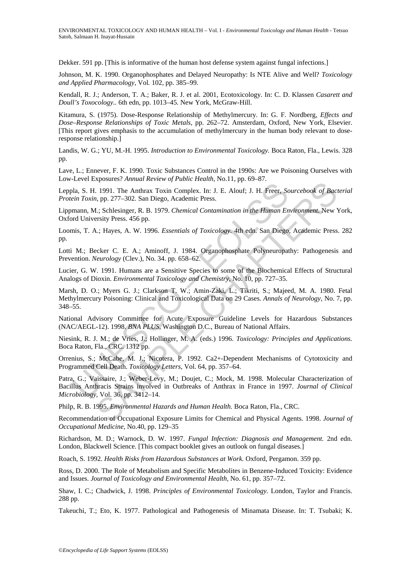Dekker. 591 pp. [This is informative of the human host defense system against fungal infections.]

Johnson, M. K. 1990. Organophosphates and Delayed Neuropathy: Is NTE Alive and Well? *Toxicology and Applied Pharmacology,* Vol*.* 102, pp. 385–99.

Kendall, R. J.; Anderson, T. A.; Baker, R. J. et al. 2001, Ecotoxicology. In: C. D. Klassen *Casarett and Doull's Toxocology..* 6th edn, pp. 1013–45. New York, McGraw-Hill.

Kitamura, S. (1975). Dose-Response Relationship of Methylmercury. In: G. F. Nordberg, *Effects and Dose–Response Relationships of Toxic Metals,* pp. 262–72. Amsterdam, Oxford, New York, Elsevier. [This report gives emphasis to the accumulation of methylmercury in the human body relevant to doseresponse relationship.]

Landis, W. G.; YU, M.-H. 1995. *Introduction to Environmental Toxicology.* Boca Raton, Fla., Lewis. 328 pp.

Lave, L.; Ennever, F. K. 1990. Toxic Substances Control in the 1990s: Are we Poisoning Ourselves with Low-Level Exposures? *Annual Review of Public Health,* No.11, pp. 69–87.

Leppla, S. H. 1991. The Anthrax Toxin Complex. In: J. E. Alouf; J. H. Freer, *Sourcebook of Bacterial Protein Toxin*, pp. 277–302*.* San Diego, Academic Press.

Lippmann, M.; Schlesinger, R. B. 1979. *Chemical Contamination in the Human Environment.* New York, Oxford University Press. 456 pp.

Loomis, T. A.; Hayes, A. W. 1996. *Essentials of Toxicology.* 4th edn. San Diego, Academic Press. 282 pp.

Lotti M.; Becker C. E. A.; Aminoff, J. 1984. Organophosphate Polyneuropathy: Pathogenesis and Prevention. *Neurology* (Clev.), No. 34. pp. 658–62.

Lucier, G. W. 1991. Humans are a Sensitive Species to some of the Biochemical Effects of Structural Analogs of Dioxin. *Environmental Toxicology and Chemistry,* No. 10, pp. 727–35.

bla, S. H. 1991. The Anthrax Toxin Complex. In: J. E. Alouf; J. H. Freer, *Scent Toxin*, pp. 277-302. San Diego, Academic Press.<br>mann, M.; Schlesinger, R. B. 1979. *Chemical Contamination in the Human End University Press.* 1991. The Anthrax Toxin Complex. In: J. E. Alouf; J. H. Freer, Sourcebook of Baci, pp. 277-302. San Diego, Academic Press.<br>
1. 991. The Anthrax Toxin Complex. In: J. E. Alouf; J. H. Freer, Sourcebook of Baci, pp. 277-302. Marsh, D. O.; Myers G. J.; Clarkson T. W.; Amin-Zaki, L.; Tikriti, S.; Majeed, M. A. 1980. Fetal Methylmercury Poisoning: Clinical and Toxicological Data on 29 Cases. *Annals of Neurology,* No. 7, pp. 348–55.

National Advisory Committee for Acute Exposure Guideline Levels for Hazardous Substances (NAC/AEGL-12). 1998. *BNA PLUS*, Washington D.C., Bureau of National Affairs.

Niesink, R. J. M.; de Vries, J.; Hollinger, M. A. (eds.) 1996. *Toxicology: Principles and Applications.* Boca Raton, Fla., CRC. 1312 pp.

Orrenius, S.; McCabe, M. J.; Nicotera, P. 1992. Ca2+-Dependent Mechanisms of Cytotoxicity and Programmed Cell Death. *Toxicology Letters,* Vol. 64, pp. 357–64.

Patra, G.; Vaissaire, J.; Weber-Levy, M.; Doujet, C.; Mock, M. 1998. Molecular Characterization of Bacillus Anthracis Strains involved in Outbreaks of Anthrax in France in 1997. *Journal of Clinical Microbiology,* Vol. 36, pp. 3412–14.

Philp, R. B. 1995. *Environmental Hazards and Human Health.* Boca Raton, Fla., CRC.

Recommendation of Occupational Exposure Limits for Chemical and Physical Agents. 1998. *Journal of Occupational Medicine,* No.40, pp. 129–35

Richardson, M. D.; Warnock, D. W. 1997. *Fungal Infection: Diagnosis and Management.* 2nd edn. London, Blackwell Science. [This compact booklet gives an outlook on fungal diseases.]

Roach, S. 1992. *Health Risks from Hazardous Substances at Work.* Oxford, Pergamon. 359 pp.

Ross, D. 2000. The Role of Metabolism and Specific Metabolites in Benzene-Induced Toxicity: Evidence and Issues. *Journal of Toxicology and Environmental Health,* No. 61, pp. 357–72.

Shaw, I. C.; Chadwick, J. 1998. *Principles of Environmental Toxicology.* London, Taylor and Francis. 288 pp.

Takeuchi, T.; Eto, K. 1977. Pathological and Pathogenesis of Minamata Disease. In: T. Tsubaki; K.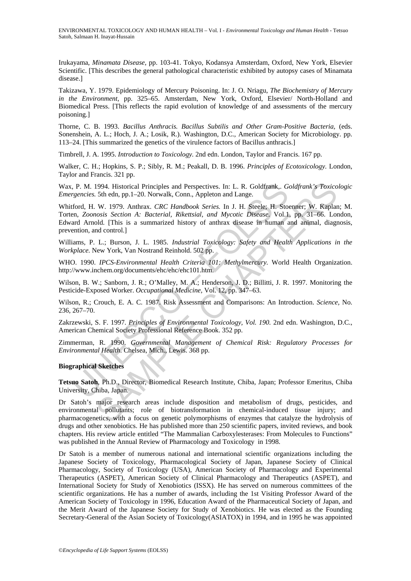Irukayama, *Minamata Disease,* pp. 103-41. Tokyo, Kodansya Amsterdam, Oxford, New York, Elsevier Scientific. [This describes the general pathological characteristic exhibited by autopsy cases of Minamata disease.]

Takizawa, Y. 1979. Epidemiology of Mercury Poisoning. In: J. O. Nriagu, *The Biochemistry of Mercury in the Environment,* pp. 325–65. Amsterdam, New York, Oxford, Elsevier/ North-Holland and Biomedical Press. [This reflects the rapid evolution of knowledge of and assessments of the mercury poisoning.]

Thorne, C. B. 1993. *Bacillus Anthracis. Bacillus Subtilis and Other Gram-Positive Bacteria,* (eds. Sonenshein, A. L.; Hoch, J. A.; Losik, R.). Washington, D.C., American Society for Microbiology. pp. 113–24. [This summarized the genetics of the virulence factors of Bacillus anthracis.]

Timbrell, J. A. 1995. *Introduction to Toxicology.* 2nd edn. London, Taylor and Francis. 167 pp.

Walker, C. H.; Hopkins, S. P.; Sibly, R. M.; Peakall, D. B. 1996. *Principles of Ecotoxicology.* London, Taylor and Francis. 321 pp.

Wax, P. M. 1994. Historical Principles and Perspectives. In: L. R. Goldfrank,. *Goldfrank's Toxicologic Emergencies.* 5th edn, pp.1–20. Norwalk, Conn., Appleton and Lange.

, P. M. 1994. Historical Principles and Perspectives. In: L. R. Goldfrank, Greencies. 5th edn, pp.1–20. Norwalk, Conn., Appleton and Lange.<br>
freencies. 5th edn, pp.1–20. Norwalk, Conn., Appleton and Lange.<br>
front, H. W. 19 1994. Historical Principles and Perspectives. In: L. R. Goldfrank,. *Goldfrank's Toxico*<br>5th edn, pp.1–20. Norwalk, Conn., Appleton and Lange.<br>W. 1979. Anthrax. *CRC Handbook Series.* In J. H. Skeele; H. Stoenner; W. Kapla Whitford, H. W. 1979. Anthrax. *CRC Handbook Series.* In J. H. Steele; H. Stoenner; W. Kaplan; M. Torten, *Zoonosis Section A: Bacterial, Rikettsial, and Mycotic Disease.* Vol.1, pp. 31–66. London, Edward Arnold. [This is a summarized history of anthrax disease in human and animal, diagnosis, prevention, and control.]

Williams, P. L.; Burson, J. L. 1985. *Industrial Toxicology: Safety and Health Applications in the Workplace.* New York, Van Nostrand Reinhold. 502 pp.

WHO. 1990. *IPCS-Environmental Health Criteria 101: Methylmercury.* World Health Organization. http://www.inchem.org/documents/ehc/ehc/ehc101.htm.

Wilson, B. W.; Sanborn, J. R.; O'Malley, M. A.; Henderson, J. D.; Billitti, J. R. 1997. Monitoring the Pesticide-Exposed Worker. *Occupational Medicine,* Vol. 12, pp. 347–63.

Wilson, R.; Crouch, E. A. C. 1987. Risk Assessment and Comparisons: An Introduction. *Science,* No. 236, 267–70.

Zakrzewski, S. F. 1997. *Principles of Environmental Toxicology, Vol. 190.* 2nd edn. Washington, D.C., American Chemical Society Professional Reference Book. 352 pp.

Zimmerman, R. 1990. *Governmental Management of Chemical Risk: Regulatory Processes for Environmental Health*. Chelsea, Mich., Lewis. 368 pp.

#### **Biographical Sketches**

**Tetsuo Satoh**, Ph.D., Director, Biomedical Research Institute, Chiba, Japan; Professor Emeritus, Chiba University, Chiba, Japan.

Dr Satoh's major research areas include disposition and metabolism of drugs, pesticides, and environmental pollutants; role of biotransformation in chemical-induced tissue injury; and pharmacogenetics, with a focus on genetic polymorphisms of enzymes that catalyze the hydrolysis of drugs and other xenobiotics. He has published more than 250 scientific papers, invited reviews, and book chapters. His review article entitled "The Mammalian Carboxylesterases: From Molecules to Functions" was published in the Annual Review of Pharmacology and Toxicology in 1998.

Dr Satoh is a member of numerous national and international scientific organizations including the Japanese Society of Toxicology, Pharmacological Society of Japan, Japanese Society of Clinical Pharmacology, Society of Toxicology (USA), American Society of Pharmacology and Experimental Therapeutics (ASPET), American Society of Clinical Pharmacology and Therapeutics (ASPET), and International Society for Study of Xenobiotics (ISSX). He has served on numerous committees of the scientific organizations. He has a number of awards, including the 1st Visiting Professor Award of the American Society of Toxicology in 1996, Education Award of the Pharmaceutical Society of Japan, and the Merit Award of the Japanese Society for Study of Xenobiotics. He was elected as the Founding Secretary-General of the Asian Society of Toxicology(ASIATOX) in 1994, and in 1995 he was appointed